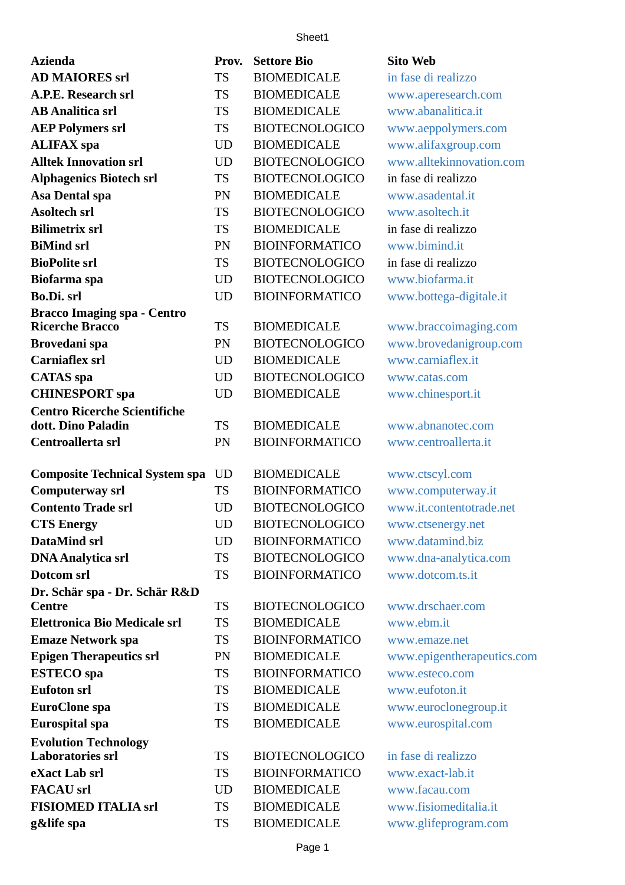## Sheet1

| <b>Azienda</b>                                            | Prov.     | <b>Settore Bio</b>    | <b>Sito Web</b>            |
|-----------------------------------------------------------|-----------|-----------------------|----------------------------|
| <b>AD MAIORES srl</b>                                     | <b>TS</b> | <b>BIOMEDICALE</b>    | in fase di realizzo        |
| A.P.E. Research srl                                       | <b>TS</b> | <b>BIOMEDICALE</b>    | www.aperesearch.com        |
| <b>AB Analitica srl</b>                                   | <b>TS</b> | <b>BIOMEDICALE</b>    | www.abanalitica.it         |
| <b>AEP Polymers srl</b>                                   | <b>TS</b> | <b>BIOTECNOLOGICO</b> | www.aeppolymers.com        |
| <b>ALIFAX</b> spa                                         | <b>UD</b> | <b>BIOMEDICALE</b>    | www.alifaxgroup.com        |
| <b>Alltek Innovation srl</b>                              | <b>UD</b> | <b>BIOTECNOLOGICO</b> | www.alltekinnovation.com   |
| <b>Alphagenics Biotech srl</b>                            | <b>TS</b> | <b>BIOTECNOLOGICO</b> | in fase di realizzo        |
| Asa Dental spa                                            | PN        | <b>BIOMEDICALE</b>    | www.asadental.it           |
| <b>Asoltech srl</b>                                       | <b>TS</b> | <b>BIOTECNOLOGICO</b> | www.asoltech.it            |
| <b>Bilimetrix srl</b>                                     | <b>TS</b> | <b>BIOMEDICALE</b>    | in fase di realizzo        |
| <b>BiMind srl</b>                                         | PN        | <b>BIOINFORMATICO</b> | www.bimind.it              |
| <b>BioPolite srl</b>                                      | <b>TS</b> | <b>BIOTECNOLOGICO</b> | in fase di realizzo        |
| <b>Biofarma</b> spa                                       | <b>UD</b> | <b>BIOTECNOLOGICO</b> | www.biofarma.it            |
| Bo.Di. srl                                                | <b>UD</b> | <b>BIOINFORMATICO</b> | www.bottega-digitale.it    |
| <b>Bracco Imaging spa - Centro</b>                        |           |                       |                            |
| <b>Ricerche Bracco</b>                                    | <b>TS</b> | <b>BIOMEDICALE</b>    | www.braccoimaging.com      |
| Brovedani spa                                             | PN        | <b>BIOTECNOLOGICO</b> | www.brovedanigroup.com     |
| <b>Carniaflex srl</b>                                     | <b>UD</b> | <b>BIOMEDICALE</b>    | www.carniaflex.it          |
| <b>CATAS</b> spa                                          | <b>UD</b> | <b>BIOTECNOLOGICO</b> | www.catas.com              |
| <b>CHINESPORT</b> spa                                     | <b>UD</b> | <b>BIOMEDICALE</b>    | www.chinesport.it          |
| <b>Centro Ricerche Scientifiche</b><br>dott. Dino Paladin | <b>TS</b> | <b>BIOMEDICALE</b>    | www.abnanotec.com          |
| Centroallerta srl                                         | PN        | <b>BIOINFORMATICO</b> | www.centroallerta.it       |
|                                                           |           |                       |                            |
| <b>Composite Technical System spa</b>                     | <b>UD</b> | <b>BIOMEDICALE</b>    | www.ctscyl.com             |
| <b>Computerway srl</b>                                    | <b>TS</b> | <b>BIOINFORMATICO</b> | www.computerway.it         |
| <b>Contento Trade srl</b>                                 | UD        | <b>BIOTECNOLOGICO</b> | www.it.contentotrade.net   |
| <b>CTS Energy</b>                                         | <b>UD</b> | <b>BIOTECNOLOGICO</b> | www.ctsenergy.net          |
| <b>DataMind srl</b>                                       | UD        | <b>BIOINFORMATICO</b> | www.datamind.biz           |
| <b>DNA Analytica srl</b>                                  | <b>TS</b> | <b>BIOTECNOLOGICO</b> | www.dna-analytica.com      |
| Dotcom srl                                                | <b>TS</b> | <b>BIOINFORMATICO</b> | www.dotcom.ts.it           |
| Dr. Schär spa - Dr. Schär R&D<br><b>Centre</b>            | <b>TS</b> | <b>BIOTECNOLOGICO</b> | www.drschaer.com           |
| <b>Elettronica Bio Medicale srl</b>                       | <b>TS</b> | <b>BIOMEDICALE</b>    | www.ebm.it                 |
| <b>Emaze Network spa</b>                                  | <b>TS</b> | <b>BIOINFORMATICO</b> | www.emaze.net              |
| <b>Epigen Therapeutics srl</b>                            | PN        | <b>BIOMEDICALE</b>    | www.epigentherapeutics.com |
| <b>ESTECO</b> spa                                         | <b>TS</b> | <b>BIOINFORMATICO</b> | www.esteco.com             |
| <b>Eufoton srl</b>                                        | <b>TS</b> | <b>BIOMEDICALE</b>    | www.eufoton.it             |
| EuroClone spa                                             | <b>TS</b> | <b>BIOMEDICALE</b>    | www.euroclonegroup.it      |
| <b>Eurospital spa</b>                                     | <b>TS</b> | <b>BIOMEDICALE</b>    | www.eurospital.com         |
| <b>Evolution Technology</b>                               |           |                       |                            |
| <b>Laboratories srl</b>                                   | <b>TS</b> | <b>BIOTECNOLOGICO</b> | in fase di realizzo        |
| eXact Lab srl                                             | <b>TS</b> | <b>BIOINFORMATICO</b> | www.exact-lab.it           |
| <b>FACAU</b> srl                                          | <b>UD</b> | <b>BIOMEDICALE</b>    | www.facau.com              |
| <b>FISIOMED ITALIA srl</b>                                | <b>TS</b> | <b>BIOMEDICALE</b>    | www.fisiomeditalia.it      |
| g&life spa                                                | <b>TS</b> | <b>BIOMEDICALE</b>    | www.glifeprogram.com       |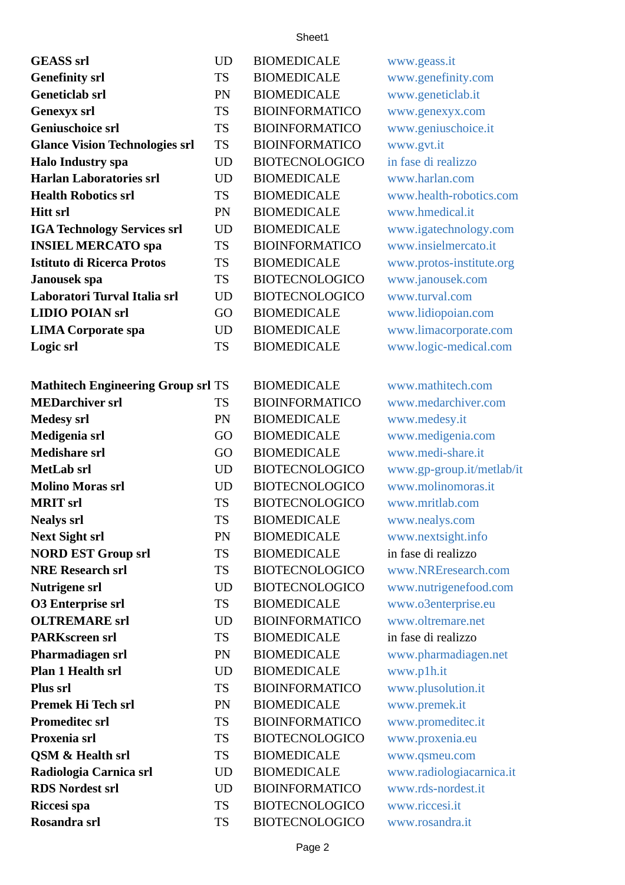## Sheet1

| <b>GEASS</b> srl                          | <b>UD</b> | <b>BIOMEDICALE</b>    | www.geass.it              |
|-------------------------------------------|-----------|-----------------------|---------------------------|
| <b>Genefinity srl</b>                     | <b>TS</b> | <b>BIOMEDICALE</b>    | www.genefinity.com        |
| <b>Geneticlab srl</b>                     | PN        | <b>BIOMEDICALE</b>    | www.geneticlab.it         |
| <b>Genexyx srl</b>                        | <b>TS</b> | <b>BIOINFORMATICO</b> | www.genexyx.com           |
| <b>Geniuschoice srl</b>                   | <b>TS</b> | <b>BIOINFORMATICO</b> | www.geniuschoice.it       |
| <b>Glance Vision Technologies srl</b>     | <b>TS</b> | <b>BIOINFORMATICO</b> | www.gvt.it                |
| <b>Halo Industry spa</b>                  | <b>UD</b> | <b>BIOTECNOLOGICO</b> | in fase di realizzo       |
| <b>Harlan Laboratories srl</b>            | UD        | <b>BIOMEDICALE</b>    | www.harlan.com            |
| <b>Health Robotics srl</b>                | <b>TS</b> | <b>BIOMEDICALE</b>    | www.health-robotics.com   |
| <b>Hitt srl</b>                           | PN        | <b>BIOMEDICALE</b>    | www.hmedical.it           |
| <b>IGA Technology Services srl</b>        | <b>UD</b> | <b>BIOMEDICALE</b>    | www.igatechnology.com     |
| <b>INSIEL MERCATO spa</b>                 | <b>TS</b> | <b>BIOINFORMATICO</b> | www.insielmercato.it      |
| <b>Istituto di Ricerca Protos</b>         | <b>TS</b> | <b>BIOMEDICALE</b>    | www.protos-institute.org  |
| Janousek spa                              | <b>TS</b> | <b>BIOTECNOLOGICO</b> | www.janousek.com          |
| Laboratori Turval Italia srl              | <b>UD</b> | <b>BIOTECNOLOGICO</b> | www.turval.com            |
| <b>LIDIO POIAN srl</b>                    | GO        | <b>BIOMEDICALE</b>    | www.lidiopoian.com        |
| <b>LIMA Corporate spa</b>                 | <b>UD</b> | <b>BIOMEDICALE</b>    | www.limacorporate.com     |
| Logic srl                                 | <b>TS</b> | <b>BIOMEDICALE</b>    | www.logic-medical.com     |
|                                           |           |                       |                           |
| <b>Mathitech Engineering Group srl TS</b> |           | <b>BIOMEDICALE</b>    | www.mathitech.com         |
| <b>MEDarchiver srl</b>                    | <b>TS</b> | <b>BIOINFORMATICO</b> | www.medarchiver.com       |
| <b>Medesy srl</b>                         | PN        | <b>BIOMEDICALE</b>    | www.medesy.it             |
| Medigenia srl                             | GO        | <b>BIOMEDICALE</b>    | www.medigenia.com         |
| <b>Medishare srl</b>                      | GO        | <b>BIOMEDICALE</b>    | www.medi-share.it         |
| MetLab srl                                | <b>UD</b> | <b>BIOTECNOLOGICO</b> | www.gp-group.it/metlab/it |
| <b>Molino Moras srl</b>                   | <b>UD</b> | <b>BIOTECNOLOGICO</b> | www.molinomoras.it        |
| <b>MRIT</b> srl                           | <b>TS</b> | <b>BIOTECNOLOGICO</b> | www.mritlab.com           |
| <b>Nealys srl</b>                         | <b>TS</b> | <b>BIOMEDICALE</b>    | www.nealys.com            |
| <b>Next Sight srl</b>                     | PN        | <b>BIOMEDICALE</b>    | www.nextsight.info        |
| <b>NORD EST Group srl</b>                 | <b>TS</b> | <b>BIOMEDICALE</b>    | in fase di realizzo       |
| <b>NRE Research srl</b>                   | <b>TS</b> | <b>BIOTECNOLOGICO</b> | www.NREresearch.com       |
| <b>Nutrigene srl</b>                      | UD        | <b>BIOTECNOLOGICO</b> | www.nutrigenefood.com     |
| <b>O3 Enterprise srl</b>                  | <b>TS</b> | <b>BIOMEDICALE</b>    | www.o3enterprise.eu       |
| <b>OLTREMARE</b> srl                      | <b>UD</b> | <b>BIOINFORMATICO</b> | www.oltremare.net         |
| <b>PARKscreen srl</b>                     | TS        | <b>BIOMEDICALE</b>    | in fase di realizzo       |
| Pharmadiagen srl                          | PN        | <b>BIOMEDICALE</b>    | www.pharmadiagen.net      |
| Plan 1 Health srl                         | <b>UD</b> | <b>BIOMEDICALE</b>    | www.p1h.it                |
| Plus srl                                  | TS        | <b>BIOINFORMATICO</b> | www.plusolution.it        |
| Premek Hi Tech srl                        | PN        | <b>BIOMEDICALE</b>    | www.premek.it             |
| <b>Promeditec srl</b>                     | <b>TS</b> | <b>BIOINFORMATICO</b> | www.promeditec.it         |
| Proxenia srl                              | <b>TS</b> | <b>BIOTECNOLOGICO</b> | www.proxenia.eu           |
| QSM & Health srl                          | <b>TS</b> | <b>BIOMEDICALE</b>    | www.qsmeu.com             |
| Radiologia Carnica srl                    | <b>UD</b> | <b>BIOMEDICALE</b>    | www.radiologiacarnica.it  |
| <b>RDS Nordest srl</b>                    | UD        | <b>BIOINFORMATICO</b> | www.rds-nordest.it        |
| Riccesi spa                               | <b>TS</b> | <b>BIOTECNOLOGICO</b> | www.riccesi.it            |
| Rosandra srl                              | <b>TS</b> | <b>BIOTECNOLOGICO</b> | www.rosandra.it           |